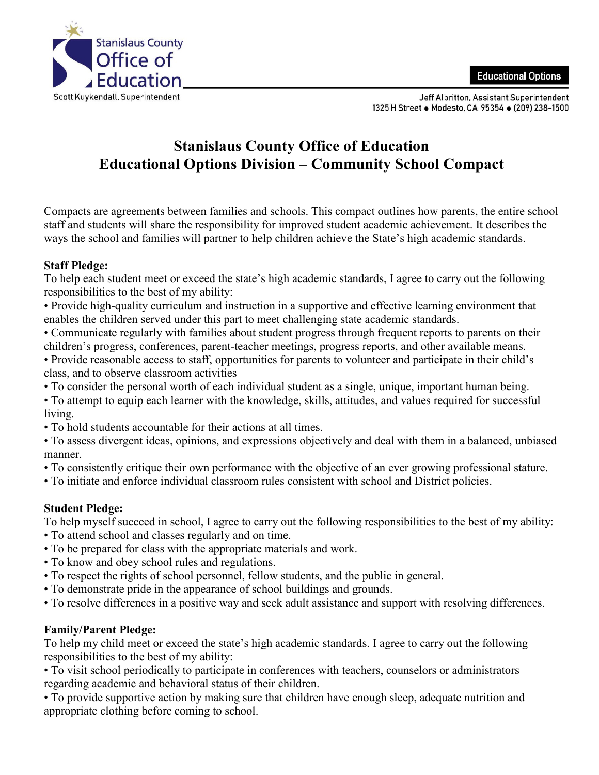

Jeff Albritton, Assistant Superintendent 1325 H Street . Modesto, CA 95354 . (209) 238-1500

## **Stanislaus County Office of Education Educational Options Division – Community School Compact**

Compacts are agreements between families and schools. This compact outlines how parents, the entire school staff and students will share the responsibility for improved student academic achievement. It describes the ways the school and families will partner to help children achieve the State's high academic standards.

## **Staff Pledge:**

To help each student meet or exceed the state's high academic standards, I agree to carry out the following responsibilities to the best of my ability:

• Provide high-quality curriculum and instruction in a supportive and effective learning environment that enables the children served under this part to meet challenging state academic standards.

• Communicate regularly with families about student progress through frequent reports to parents on their children's progress, conferences, parent-teacher meetings, progress reports, and other available means.

• Provide reasonable access to staff, opportunities for parents to volunteer and participate in their child's class, and to observe classroom activities

• To consider the personal worth of each individual student as a single, unique, important human being.

• To attempt to equip each learner with the knowledge, skills, attitudes, and values required for successful living.

• To hold students accountable for their actions at all times.

• To assess divergent ideas, opinions, and expressions objectively and deal with them in a balanced, unbiased manner.

• To consistently critique their own performance with the objective of an ever growing professional stature.

• To initiate and enforce individual classroom rules consistent with school and District policies.

## **Student Pledge:**

To help myself succeed in school, I agree to carry out the following responsibilities to the best of my ability:

- To attend school and classes regularly and on time.
- To be prepared for class with the appropriate materials and work.
- To know and obey school rules and regulations.
- To respect the rights of school personnel, fellow students, and the public in general.
- To demonstrate pride in the appearance of school buildings and grounds.
- To resolve differences in a positive way and seek adult assistance and support with resolving differences.

## **Family/Parent Pledge:**

To help my child meet or exceed the state's high academic standards. I agree to carry out the following responsibilities to the best of my ability:

• To visit school periodically to participate in conferences with teachers, counselors or administrators regarding academic and behavioral status of their children.

• To provide supportive action by making sure that children have enough sleep, adequate nutrition and appropriate clothing before coming to school.